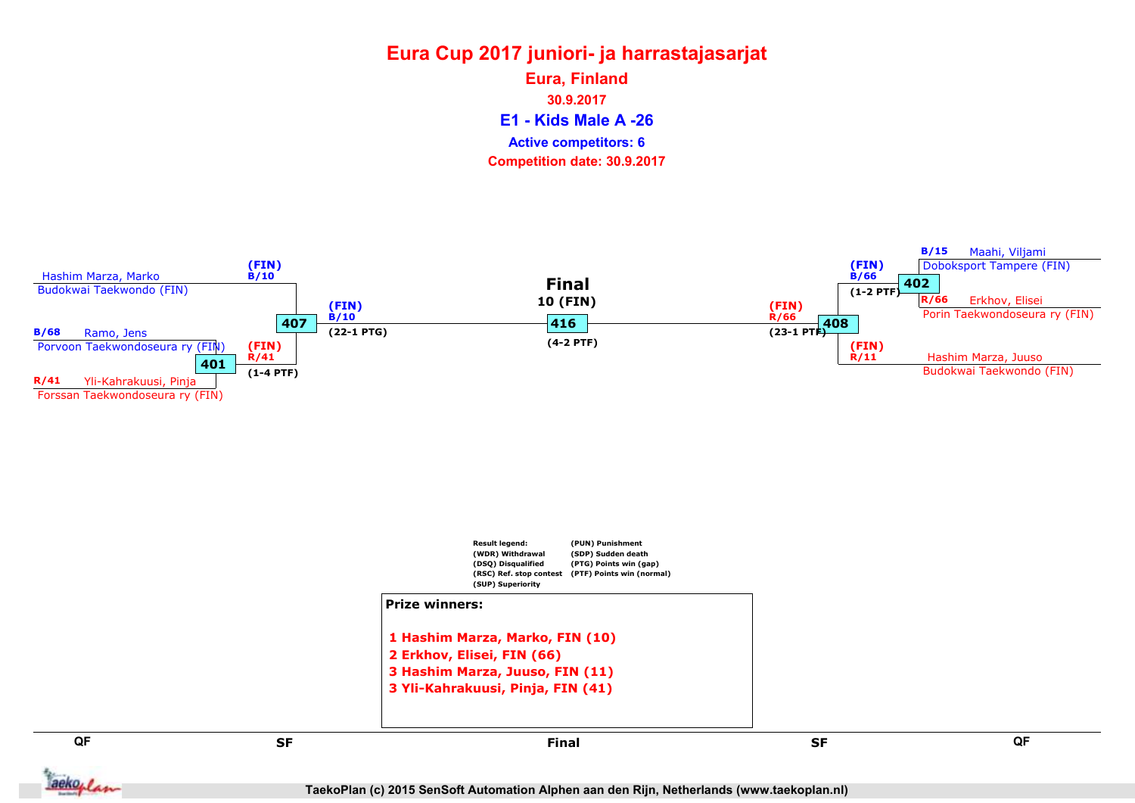### Eura Cup 2017 juniori- ja harrastajasarjat E1 - Kids Male A -26 Eura, Finland 30.9.2017 Competition date: 30.9.2017 Active competitors: 6

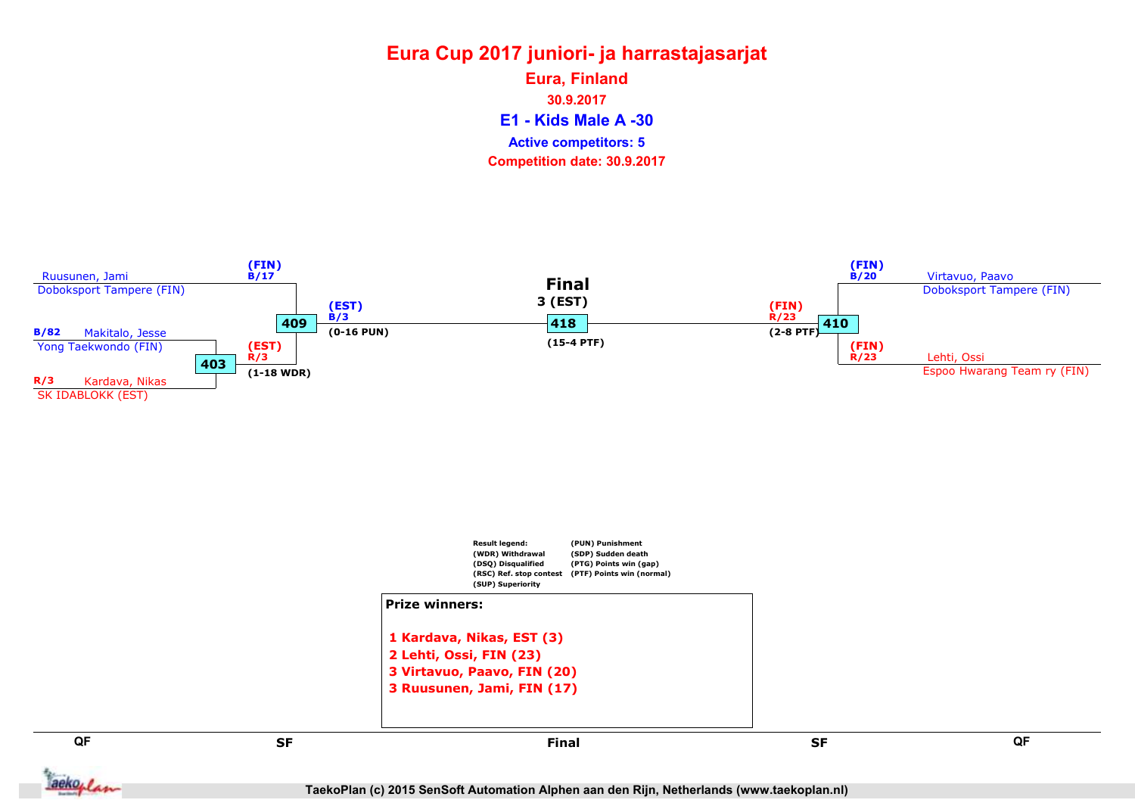### Eura Cup 2017 juniori- ja harrastajasarjat E1 - Kids Male A -30 Eura, Finland 30.9.2017 Competition date: 30.9.2017 Active competitors: 5





QF QF set and the set of the set of the set of the set of the set of the set of the set of the set of the set of the Final

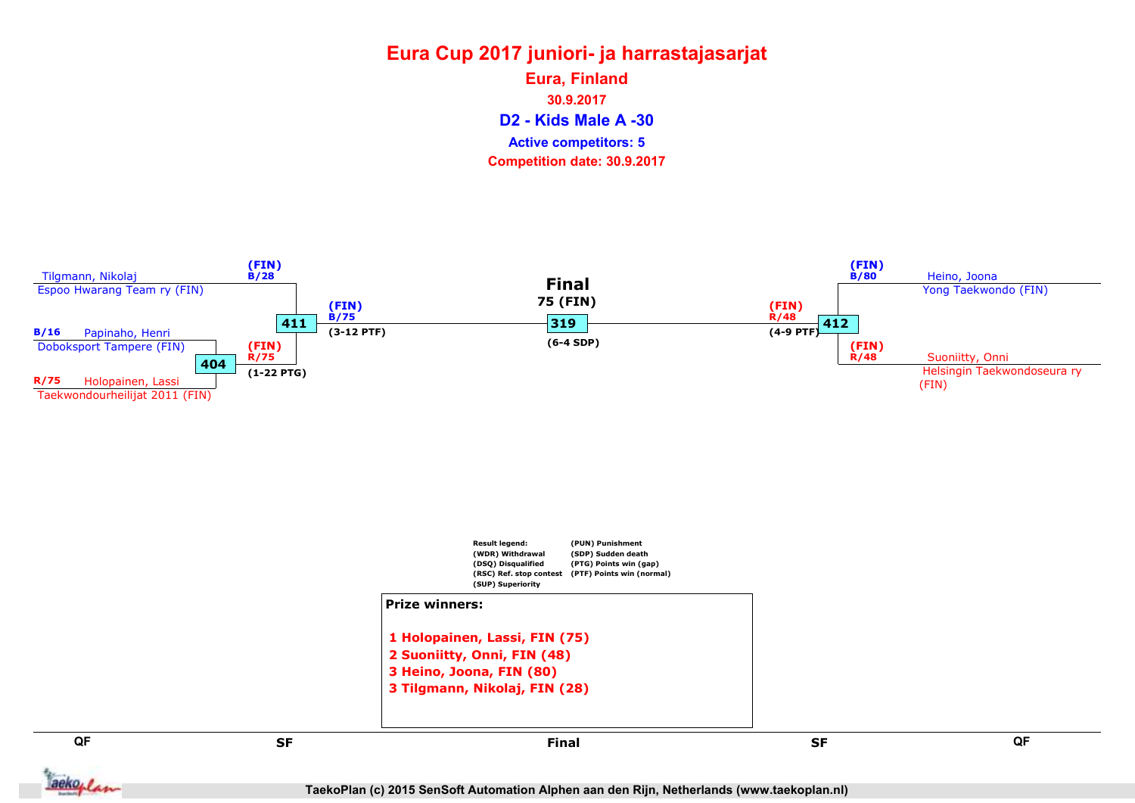### Eura Cup 2017 juniori- ja harrastajasarjat D2 - Kids Male A -30 Eura, Finland 30.9.2017 Competition date: 30.9.2017 Active competitors: 5



aekoplan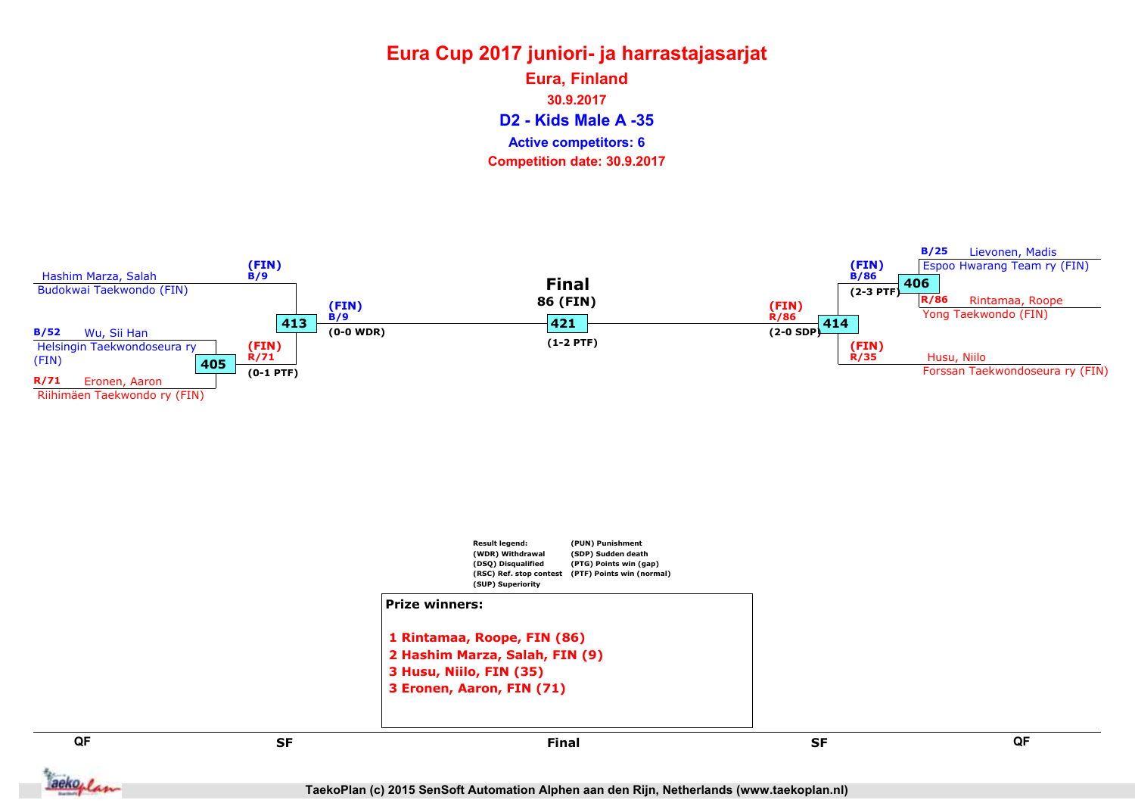### Eura Cup 2017 juniori- ja harrastajasarjat D2 - Kids Male A -35 Eura, Finland 30.9.2017 Competition date: 30.9.2017 Active competitors: 6





aekoplan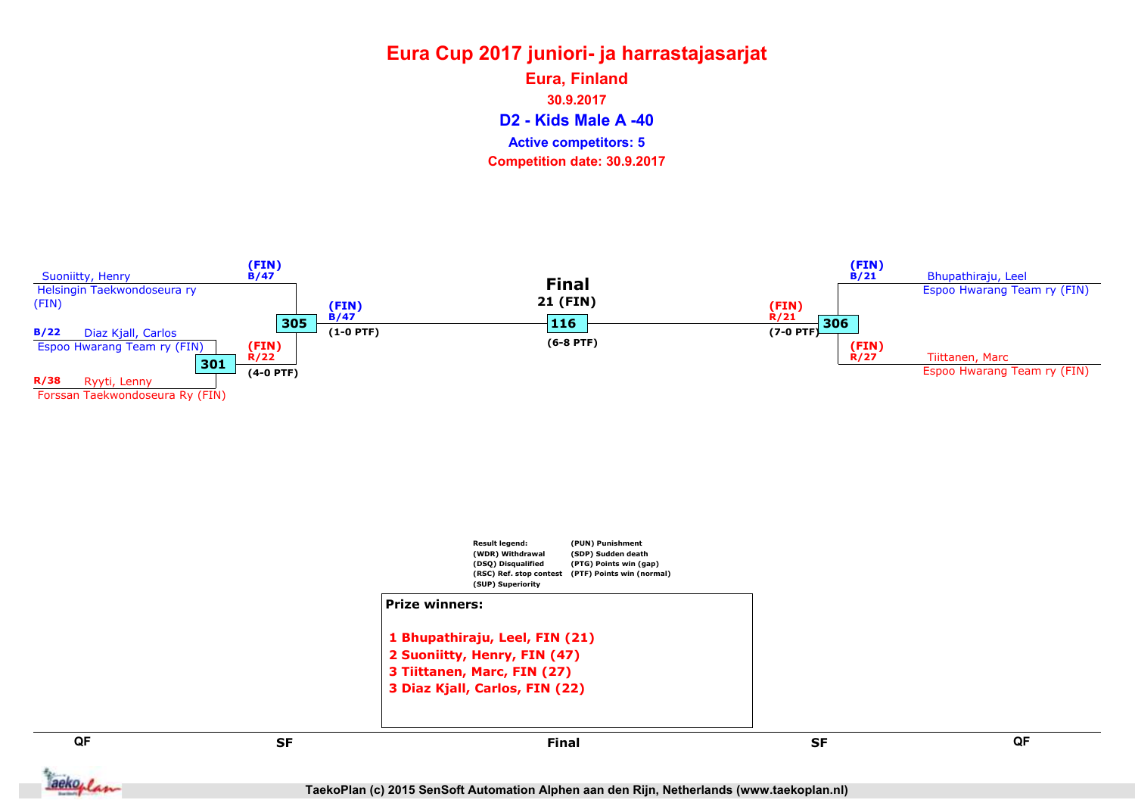#### Eura Cup 2017 juniori- ja harrastajasarjat D2 - Kids Male A -40 Eura, Finland 30.9.2017 Competition date: 30.9.2017 Active competitors: 5

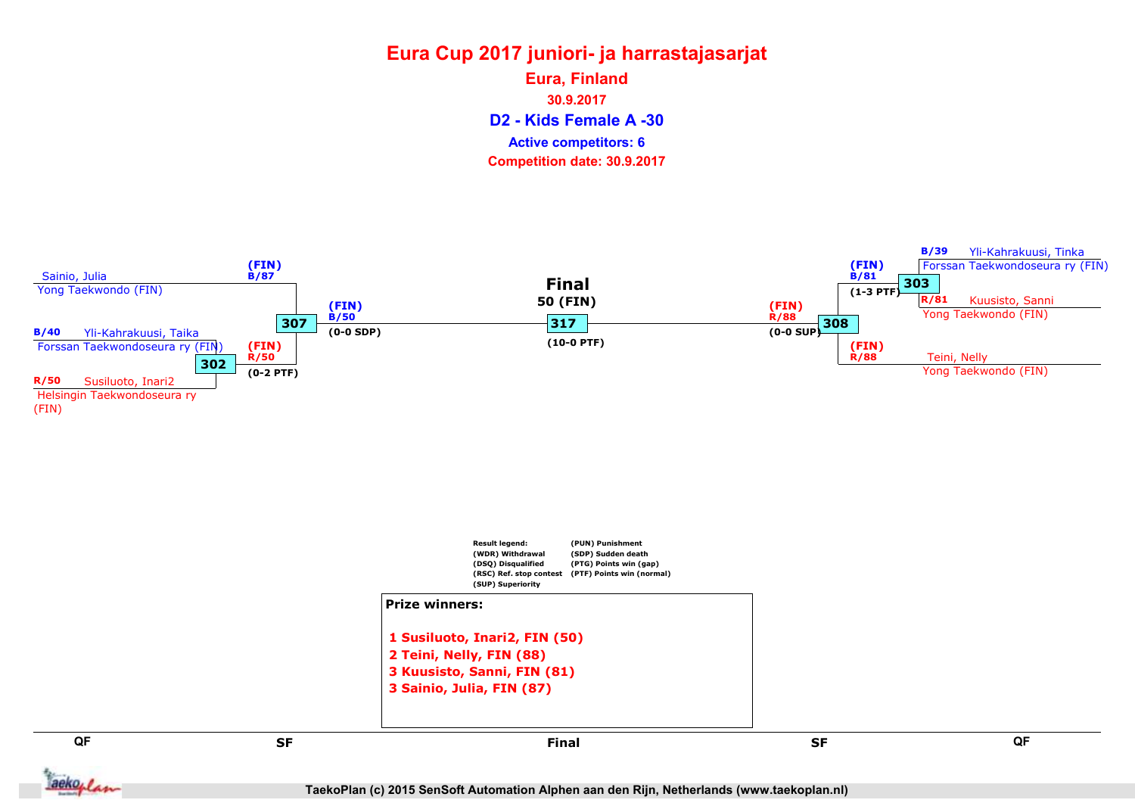### Eura Cup 2017 juniori- ja harrastajasarjat D2 - Kids Female A -30 Eura, Finland 30.9.2017 Competition date: 30.9.2017 Active competitors: 6

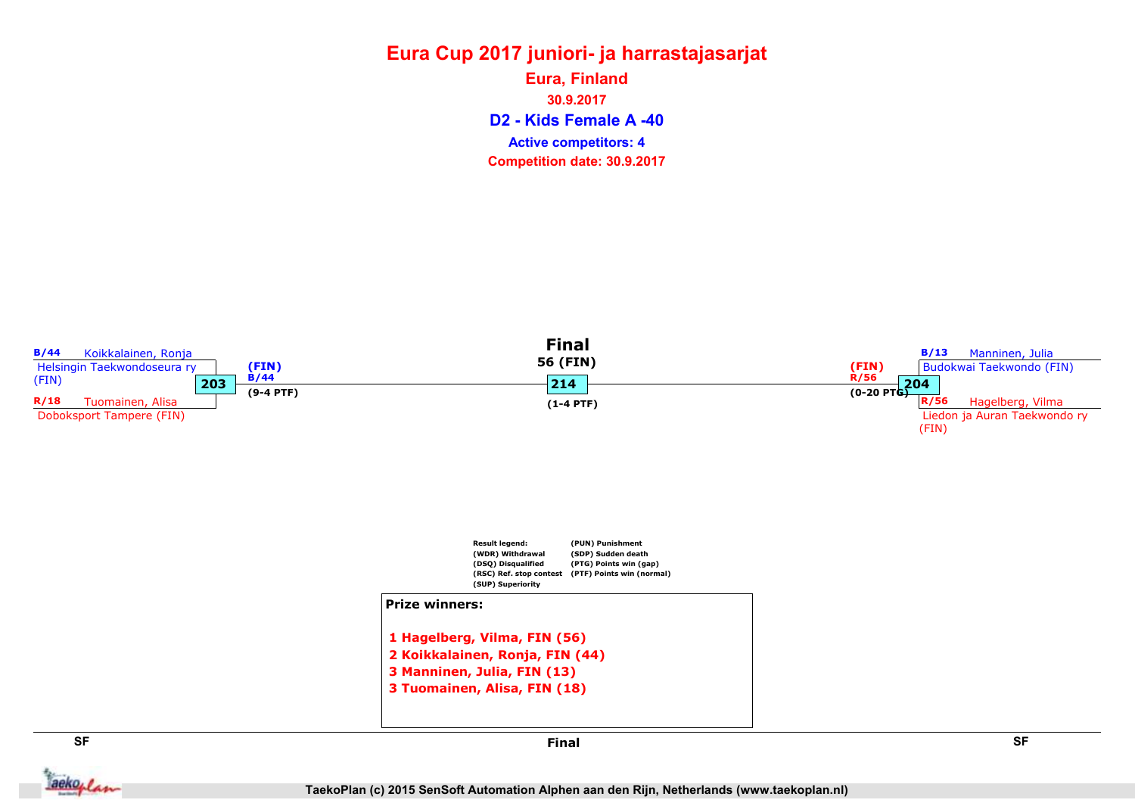#### Eura Cup 2017 juniori- ja harrastajasarjat D2 - Kids Female A -40 Eura, Finland 30.9.2017 Competition date: 30.9.2017 Active competitors: 4

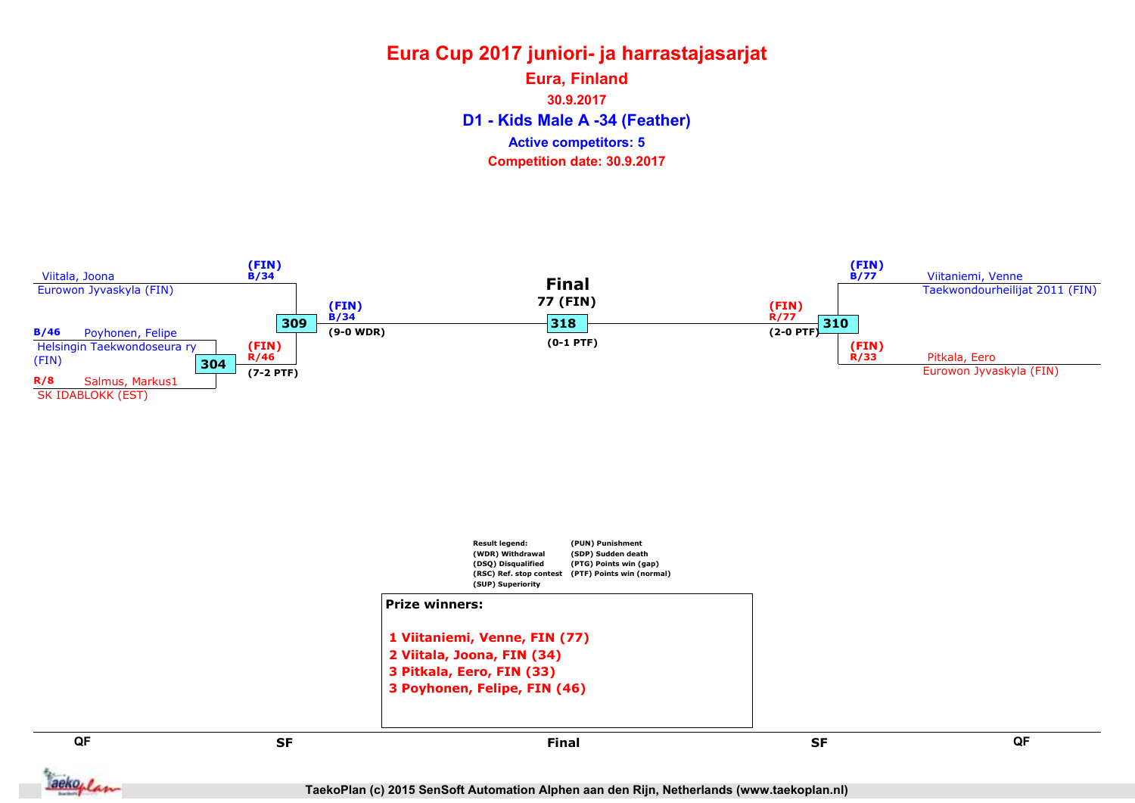### Eura Cup 2017 juniori- ja harrastajasarjat D1 - Kids Male A -34 (Feather) Eura, Finland 30.9.2017 Competition date: 30.9.2017 Active competitors: 5





QF QF set and the set of the set of the set of the set of the set of the set of the set of the set of the set of the Final

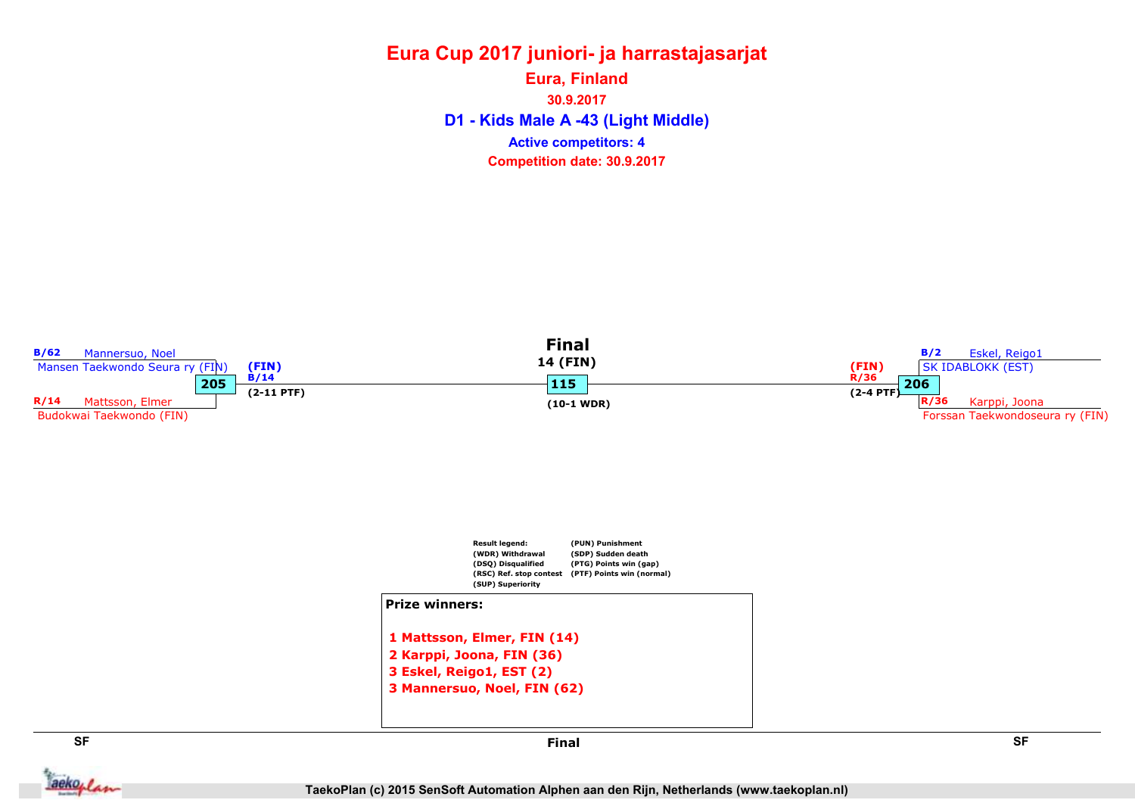#### Eura Cup 2017 juniori- ja harrastajasarjat D1 - Kids Male A -43 (Light Middle) Eura, Finland 30.9.2017 Competition date: 30.9.2017 Active competitors: 4



**Jackoplan**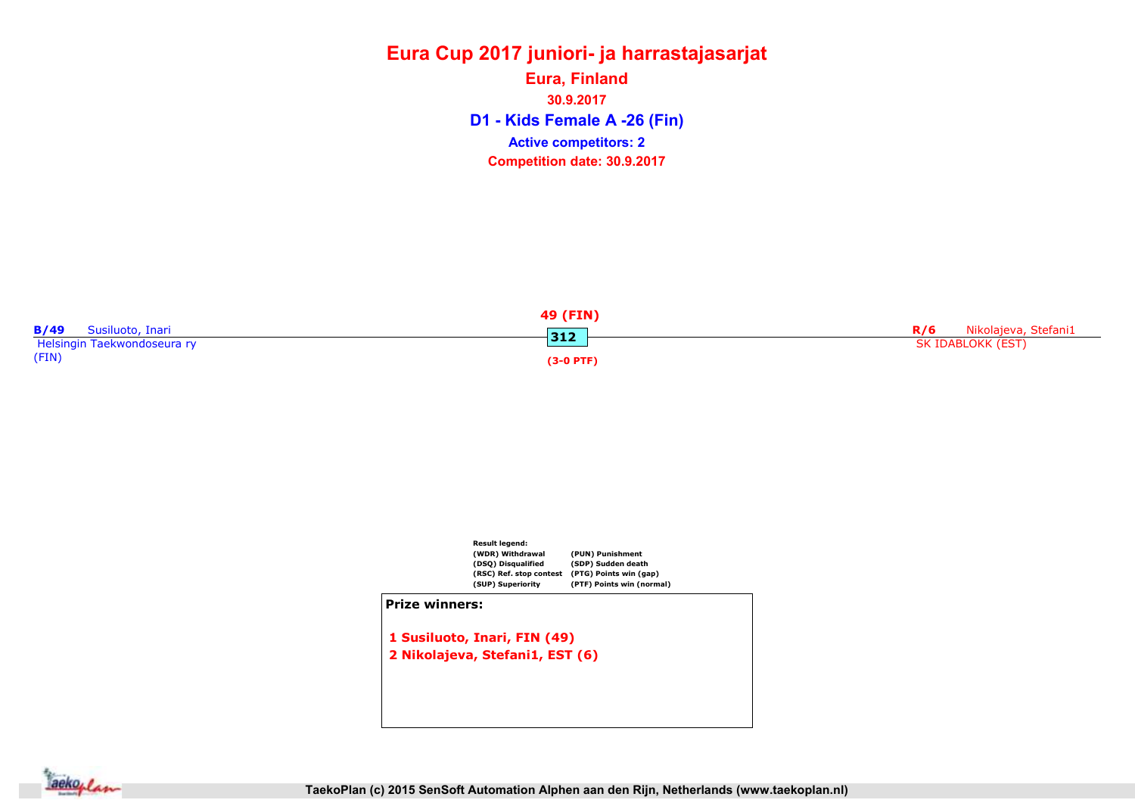### Eura Cup 2017 juniori- ja harrastajasarjat D1 - Kids Female A -26 (Fin) Eura, Finland 30.9.2017 Competition date: 30.9.2017 Active competitors: 2





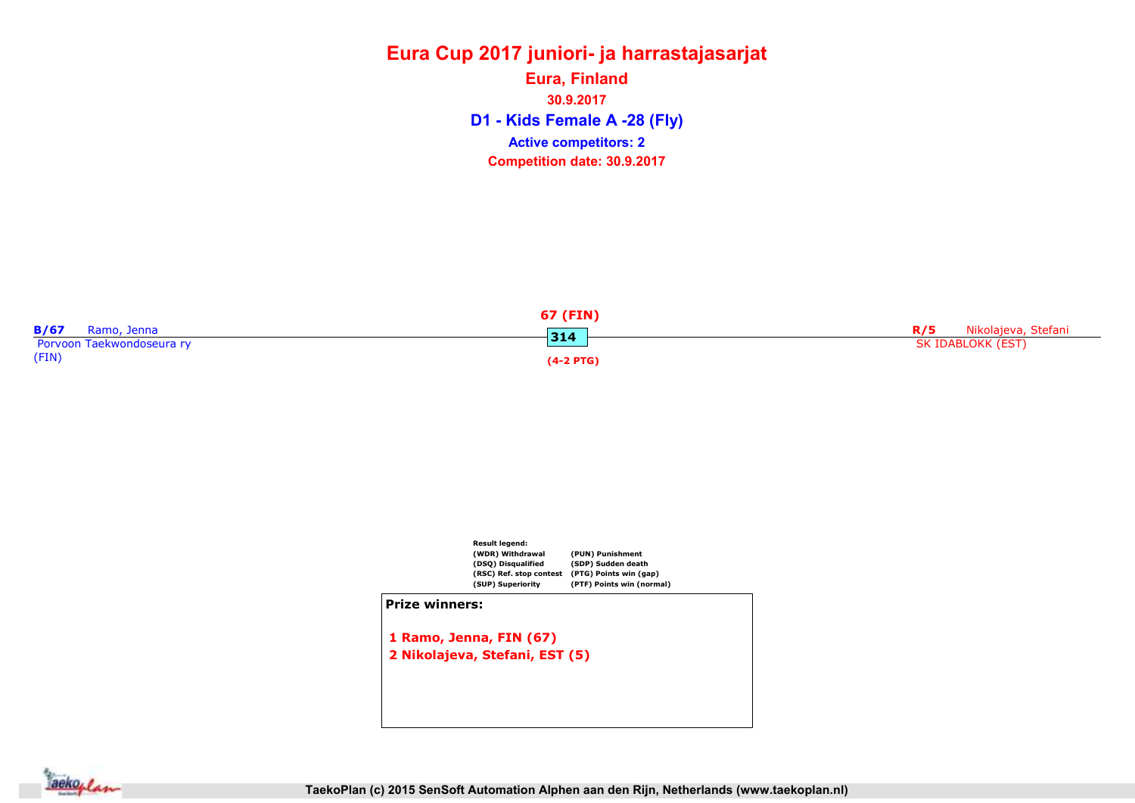### Eura Cup 2017 juniori- ja harrastajasarjat D1 - Kids Female A -28 (Fly) Eura, Finland 30.9.2017 Competition date: 30.9.2017 Active competitors: 2





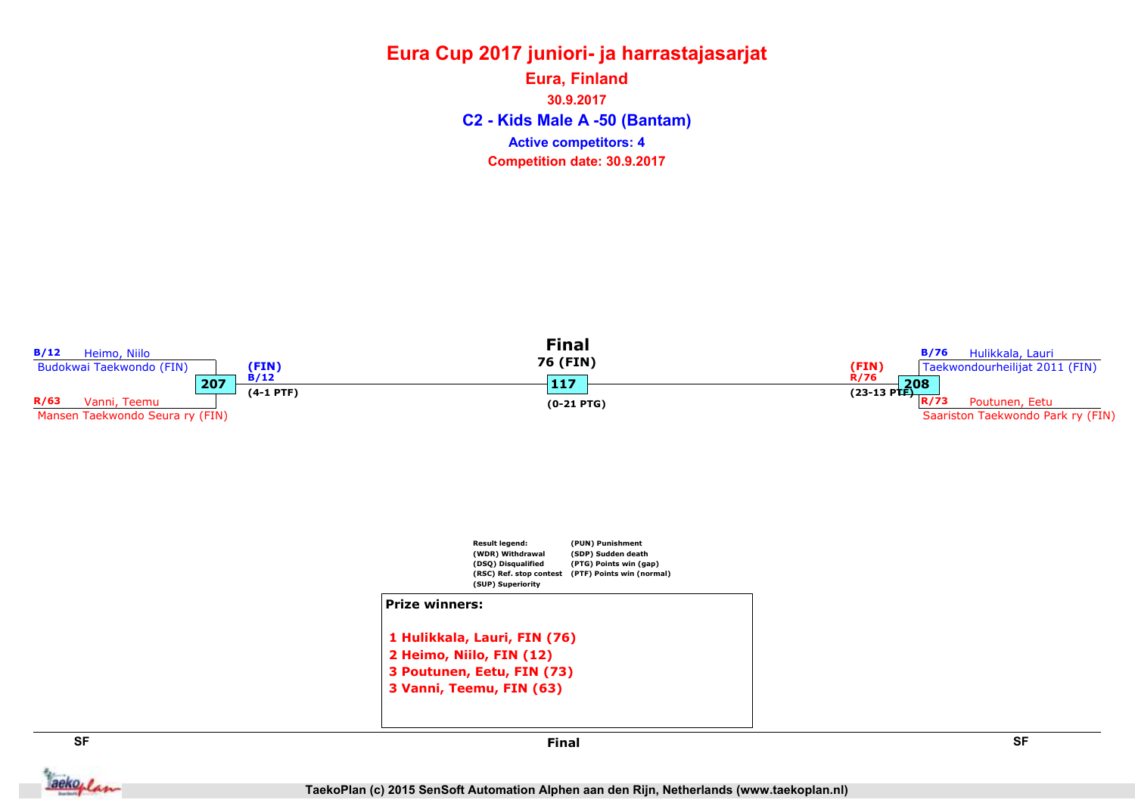#### Eura Cup 2017 juniori- ja harrastajasarjat C2 - Kids Male A -50 (Bantam) Eura, Finland 30.9.2017 Competition date: 30.9.2017 Active competitors: 4



aekoplan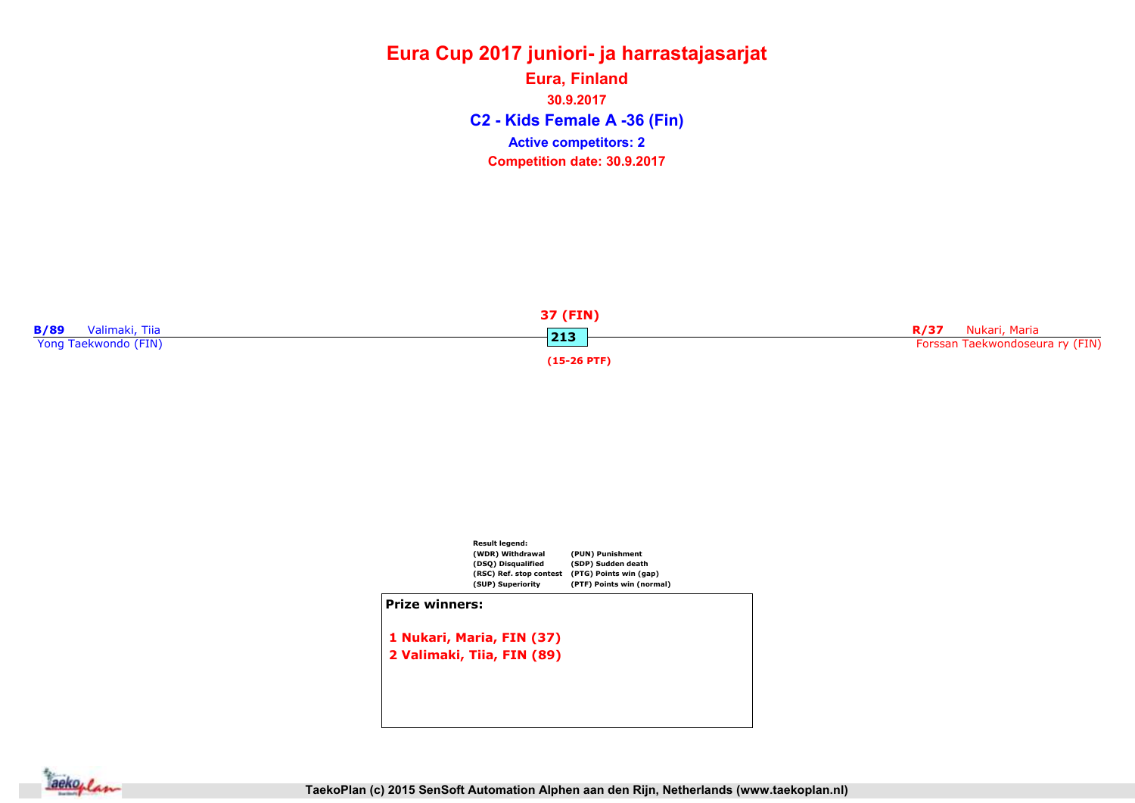### Eura Cup 2017 juniori- ja harrastajasarjat C2 - Kids Female A -36 (Fin) Eura, Finland 30.9.2017 Competition date: 30.9.2017 Active competitors: 2





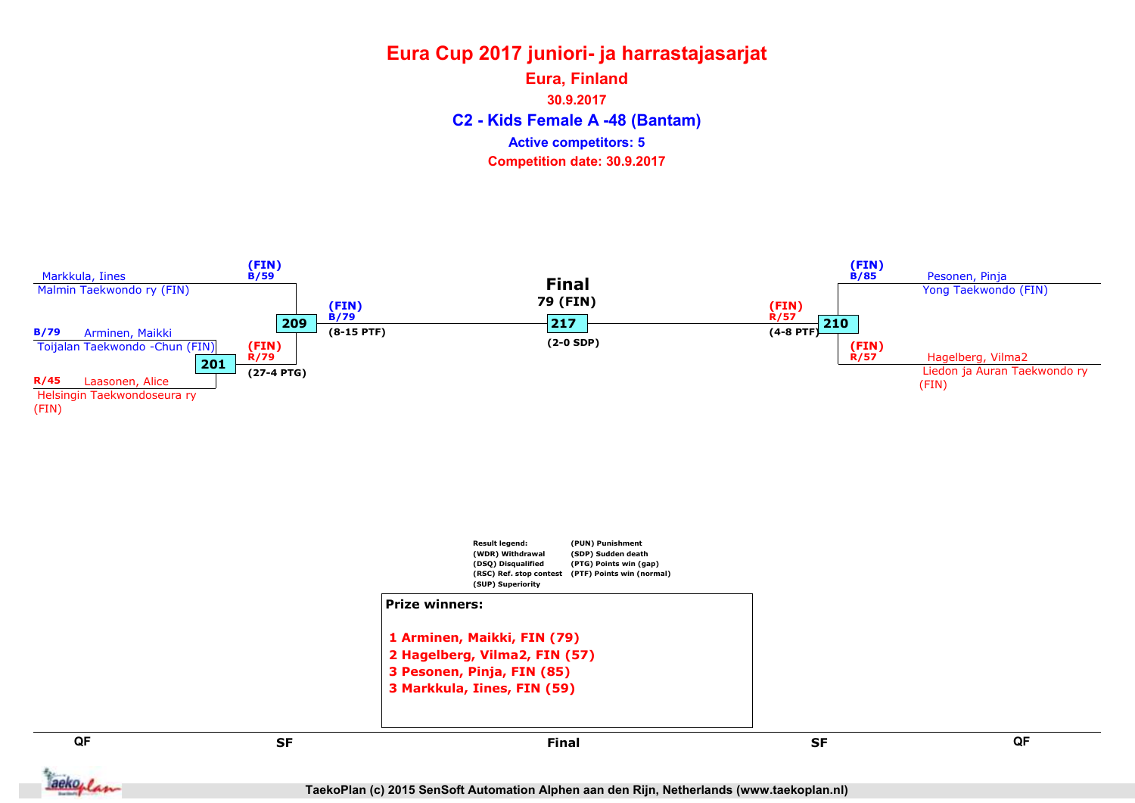### Eura Cup 2017 juniori- ja harrastajasarjat C2 - Kids Female A -48 (Bantam) Eura, Finland 30.9.2017 Competition date: 30.9.2017 Active competitors: 5

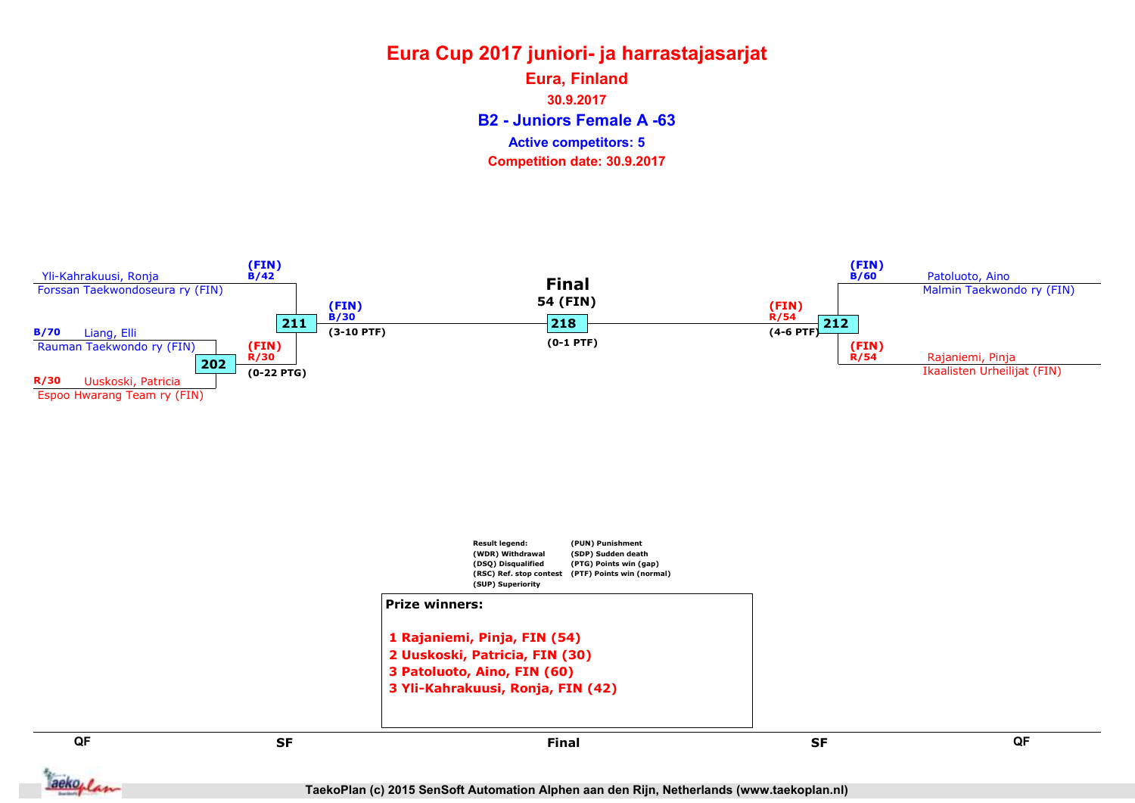B2 - Juniors Female A -63 Eura, Finland 30.9.2017 Competition date: 30.9.2017 Active competitors: 5

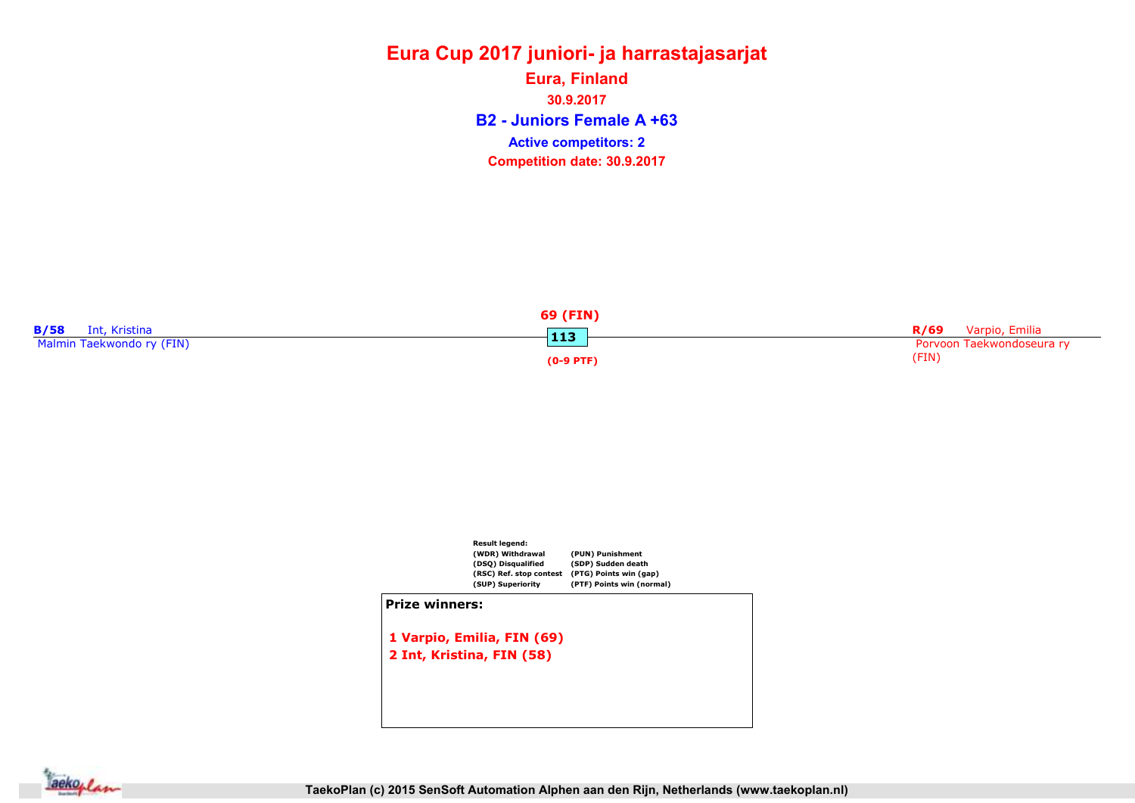### Eura Cup 2017 juniori- ja harrastajasarjat B2 - Juniors Female A +63 Eura, Finland 30.9.2017 Competition date: 30.9.2017 Active competitors: 2





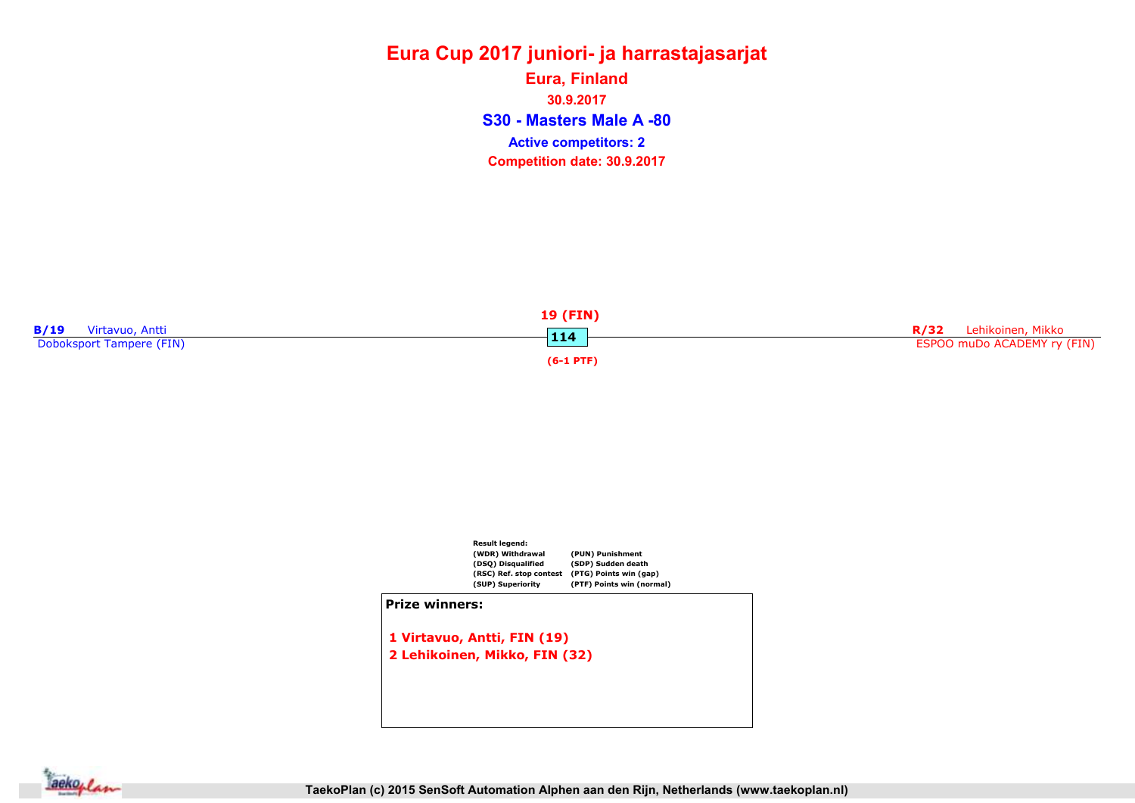### Eura Cup 2017 juniori- ja harrastajasarjat S30 - Masters Male A -80 Eura, Finland 30.9.2017 Competition date: 30.9.2017 Active competitors: 2





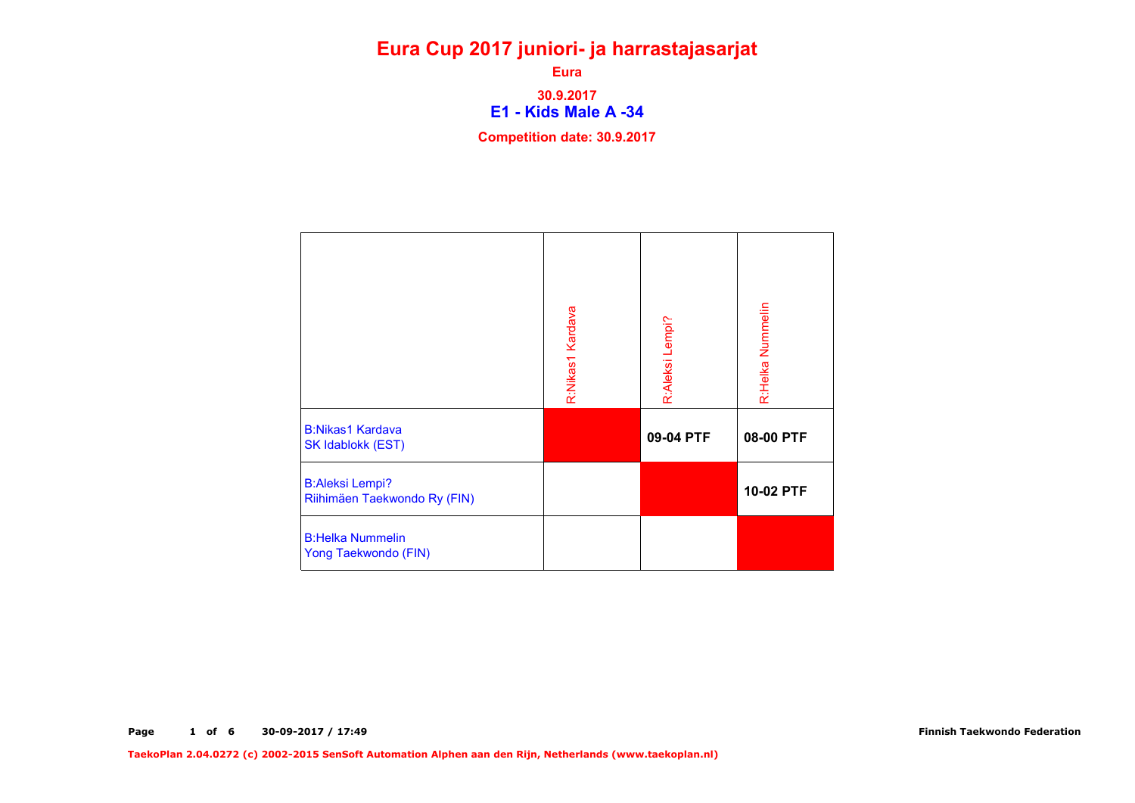E1 - Kids Male A -34 Eura 30.9.2017

Competition date: 30.9.2017

|                                                        | R:Nikas1 Kardava | R:Aleksi Lempi? | R:Helka Nummelin |
|--------------------------------------------------------|------------------|-----------------|------------------|
| <b>B:Nikas1 Kardava</b><br><b>SK Idablokk (EST)</b>    |                  | 09-04 PTF       | 08-00 PTF        |
| <b>B:Aleksi Lempi?</b><br>Riihimäen Taekwondo Ry (FIN) |                  |                 | 10-02 PTF        |
| <b>B:Helka Nummelin</b><br>Yong Taekwondo (FIN)        |                  |                 |                  |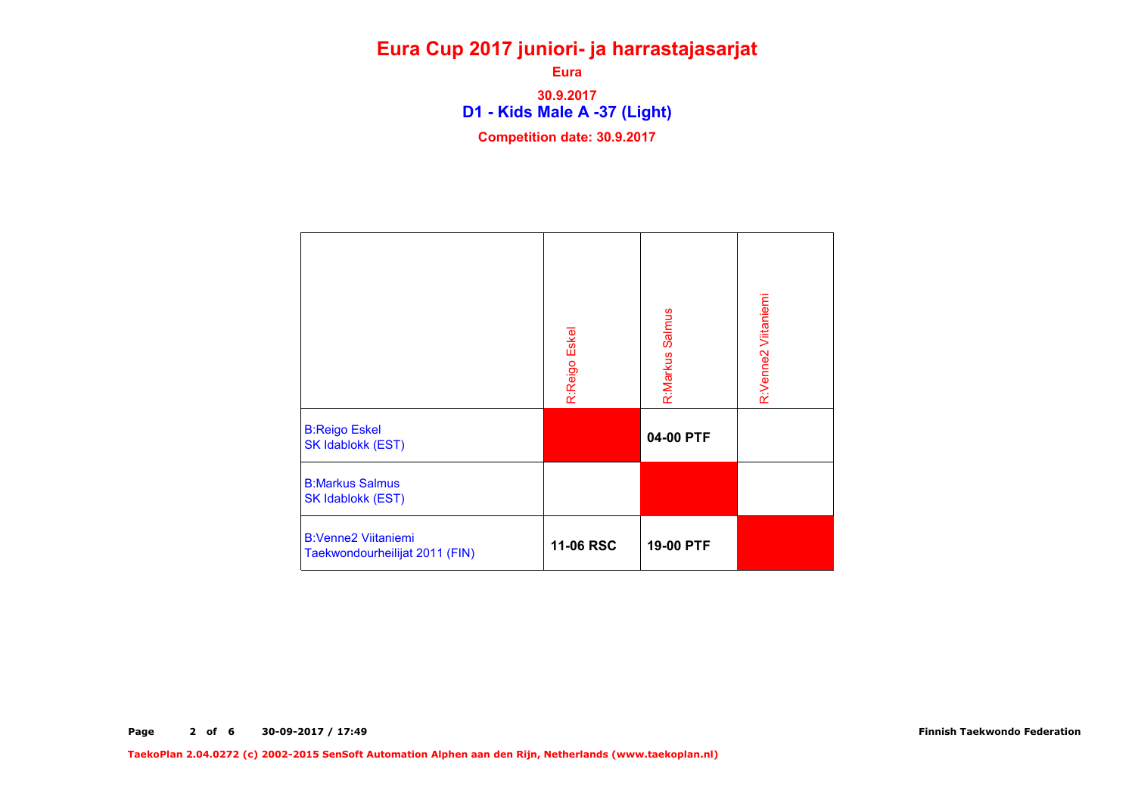D1 - Kids Male A -37 (Light) Eura 30.9.2017 Competition date: 30.9.2017

|                                                              | R:Reigo Eskel | R:Markus Salmus | R:Venne2 Viitaniemi |
|--------------------------------------------------------------|---------------|-----------------|---------------------|
| <b>B:Reigo Eskel</b><br>SK Idablokk (EST)                    |               | 04-00 PTF       |                     |
| <b>B:Markus Salmus</b><br><b>SK Idablokk (EST)</b>           |               |                 |                     |
| <b>B:Venne2 Viitaniemi</b><br>Taekwondourheilijat 2011 (FIN) | 11-06 RSC     | 19-00 PTF       |                     |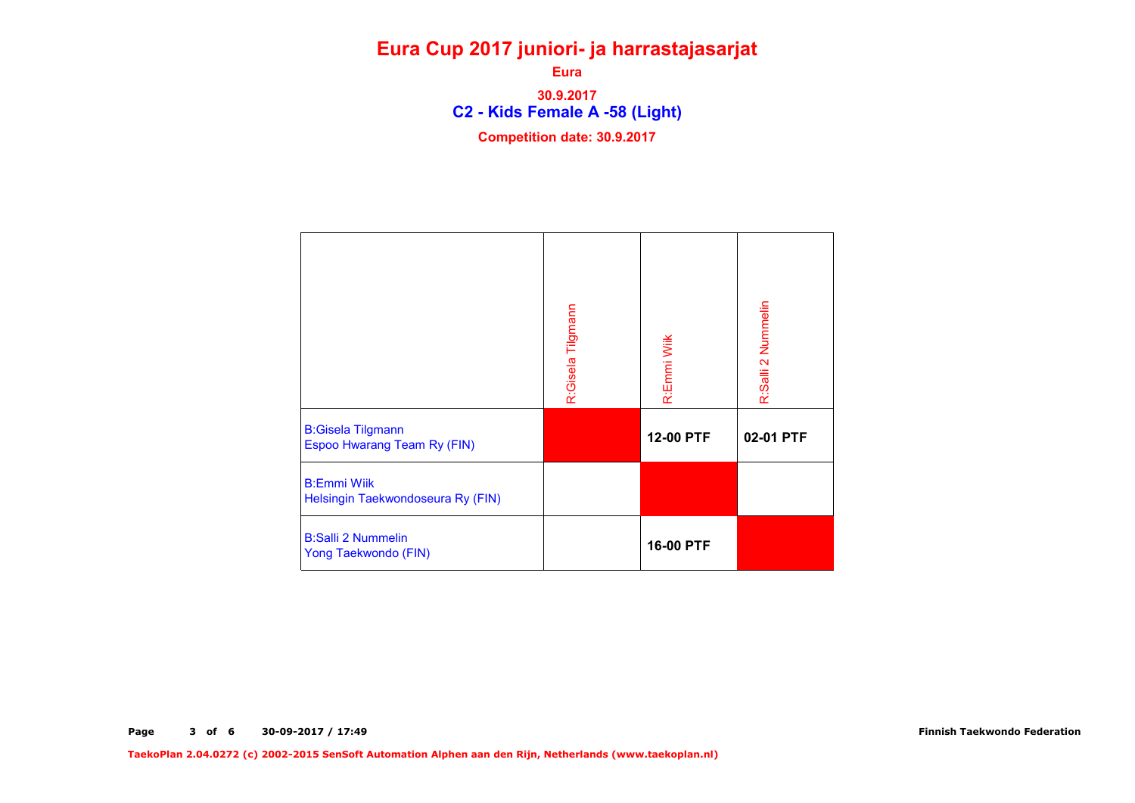C2 - Kids Female A -58 (Light) Eura 30.9.2017 Competition date: 30.9.2017

|                                                                | R:Gisela Tilgmann | R:Emmi Wiik | R:Salli 2 Nummelin |
|----------------------------------------------------------------|-------------------|-------------|--------------------|
| <b>B:Gisela Tilgmann</b><br><b>Espoo Hwarang Team Ry (FIN)</b> |                   | 12-00 PTF   | 02-01 PTF          |
| <b>B:Emmi Wiik</b><br>Helsingin Taekwondoseura Ry (FIN)        |                   |             |                    |
| <b>B:Salli 2 Nummelin</b><br>Yong Taekwondo (FIN)              |                   | 16-00 PTF   |                    |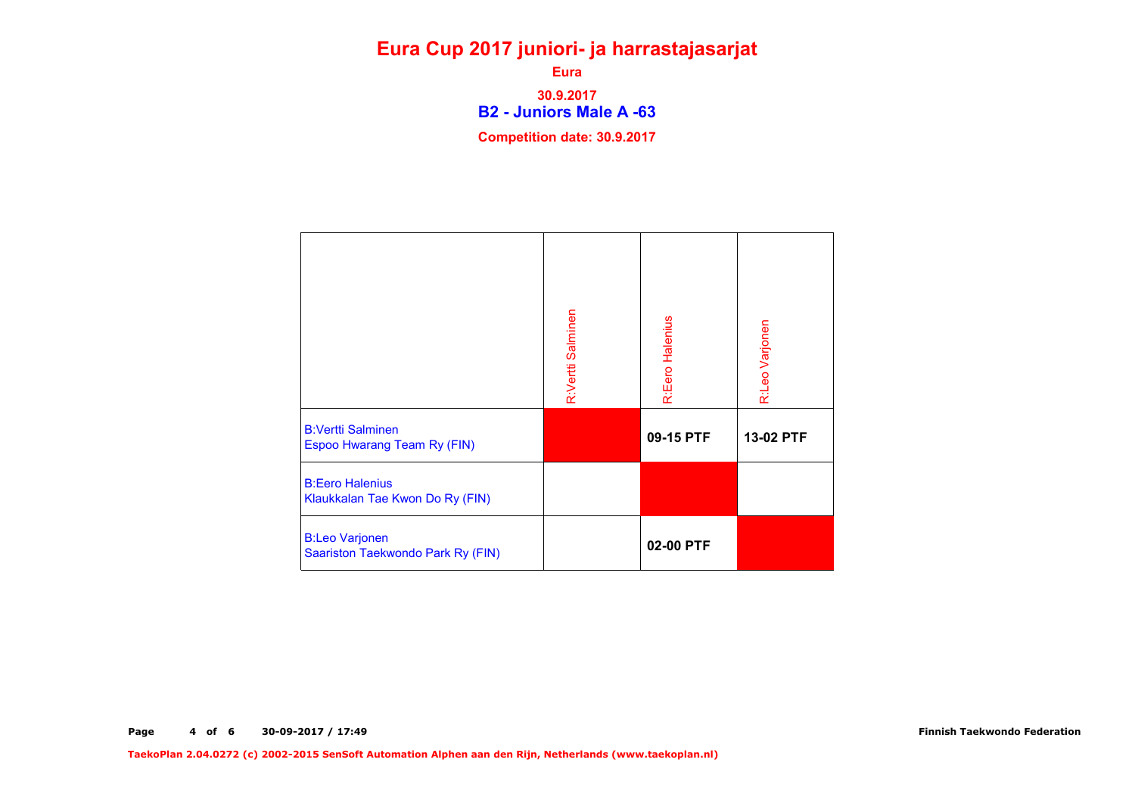B2 - Juniors Male A -63 Eura 30.9.2017 Competition date: 30.9.2017

|                                                                | R:Vertti Salminen | R:Eero Halenius | R:Leo Varjonen |
|----------------------------------------------------------------|-------------------|-----------------|----------------|
| <b>B:Vertti Salminen</b><br><b>Espoo Hwarang Team Ry (FIN)</b> |                   | 09-15 PTF       | 13-02 PTF      |
| <b>B:Eero Halenius</b><br>Klaukkalan Tae Kwon Do Ry (FIN)      |                   |                 |                |
| <b>B:Leo Varjonen</b><br>Saariston Taekwondo Park Ry (FIN)     |                   | 02-00 PTF       |                |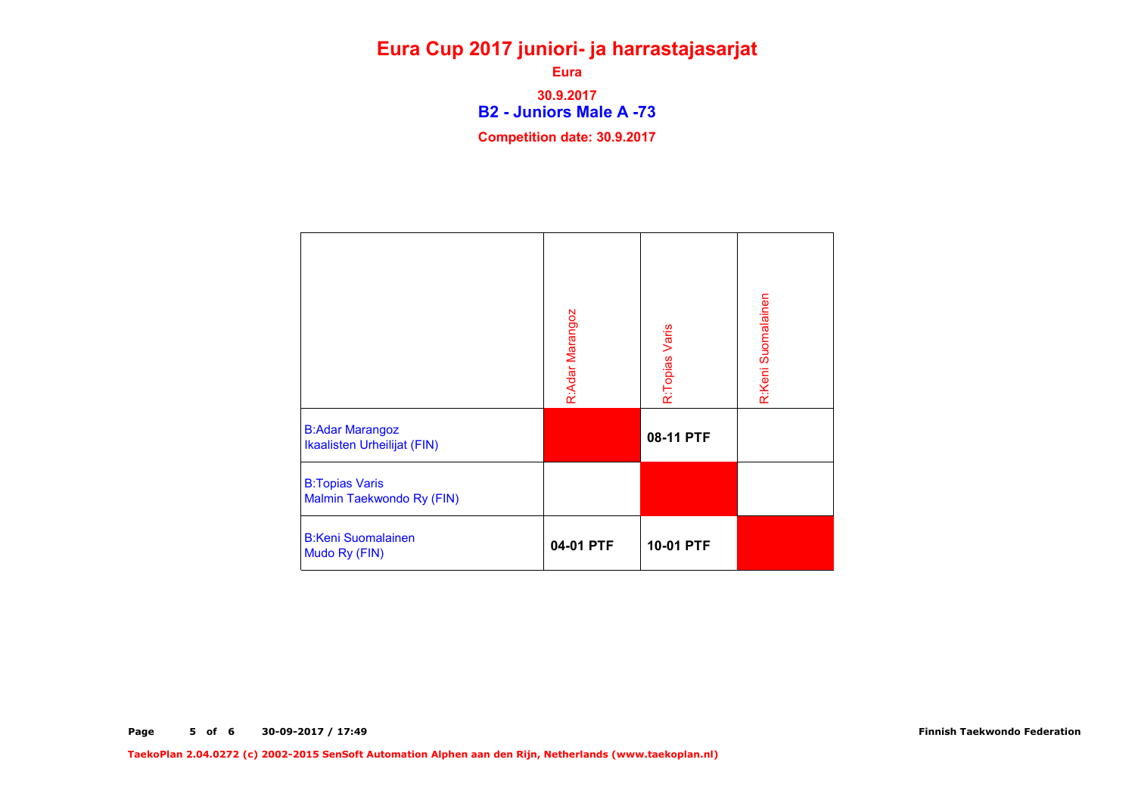B2 - Juniors Male A -73 Eura 30.9.2017 Competition date: 30.9.2017

|                                                       | R:Adar Marangoz | R:Topias Varis | R:Keni Suomalainen |
|-------------------------------------------------------|-----------------|----------------|--------------------|
| <b>B:Adar Marangoz</b><br>Ikaalisten Urheilijat (FIN) |                 | 08-11 PTF      |                    |
| <b>B:Topias Varis</b><br>Malmin Taekwondo Ry (FIN)    |                 |                |                    |
| <b>B:Keni Suomalainen</b><br>Mudo Ry (FIN)            | 04-01 PTF       | 10-01 PTF      |                    |